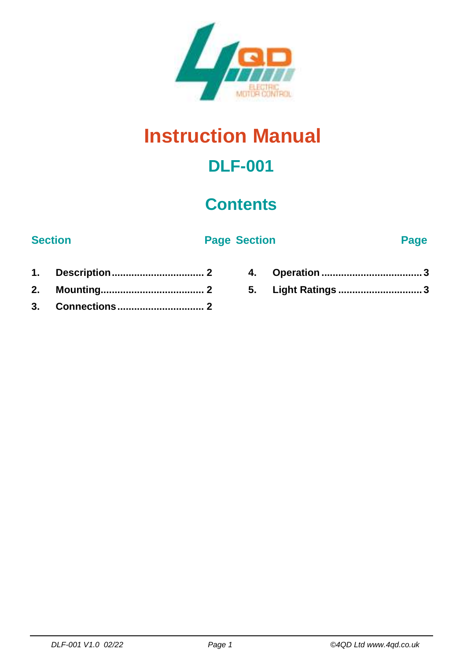

# **Instruction Manual**

## **DLF-001**

### **Contents**

#### **Section Page Section Page**

- **1. [Description.................................](#page-1-0) 2 2. [Mounting.....................................](#page-1-1) 2 3. [Connections...............................](#page-1-2) 2**
- **4. Operation [....................................](#page-2-0) 3 5. Light Ratings [..............................](#page-2-1) 3**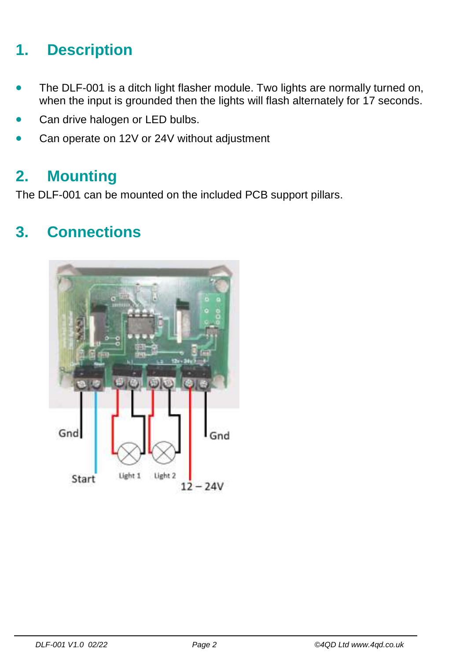### <span id="page-1-0"></span>**1. Description**

- The DLF-001 is a ditch light flasher module. Two lights are normally turned on, when the input is grounded then the lights will flash alternately for 17 seconds.
- Can drive halogen or LED bulbs.
- <span id="page-1-1"></span>Can operate on 12V or 24V without adjustment

#### **2. Mounting**

<span id="page-1-2"></span>The DLF-001 can be mounted on the included PCB support pillars.

#### **3. Connections**